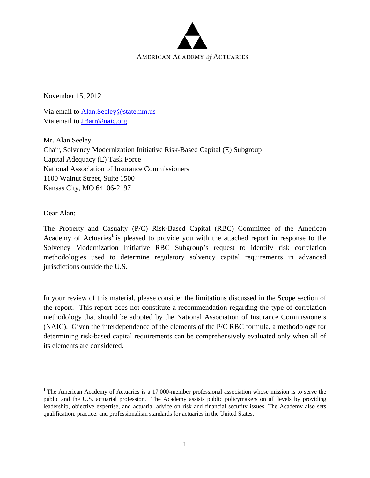

November 15, 2012

Via email to Alan.Seeley@state.nm.us Via email to JBarr@naic.org

Mr. Alan Seeley Chair, Solvency Modernization Initiative Risk-Based Capital (E) Subgroup Capital Adequacy (E) Task Force National Association of Insurance Commissioners 1100 Walnut Street, Suite 1500 Kansas City, MO 64106-2197

Dear Alan:

The Property and Casualty (P/C) Risk-Based Capital (RBC) Committee of the American Academy of Actuaries<sup>1</sup> is pleased to provide you with the attached report in response to the Solvency Modernization Initiative RBC Subgroup's request to identify risk correlation methodologies used to determine regulatory solvency capital requirements in advanced jurisdictions outside the U.S.

In your review of this material, please consider the limitations discussed in the Scope section of the report. This report does not constitute a recommendation regarding the type of correlation methodology that should be adopted by the National Association of Insurance Commissioners (NAIC). Given the interdependence of the elements of the P/C RBC formula, a methodology for determining risk-based capital requirements can be comprehensively evaluated only when all of its elements are considered.

<sup>&</sup>lt;sup>1</sup> The American Academy of Actuaries is a 17,000-member professional association whose mission is to serve the public and the U.S. actuarial profession. The Academy assists public policymakers on all levels by providing leadership, objective expertise, and actuarial advice on risk and financial security issues. The Academy also sets qualification, practice, and professionalism standards for actuaries in the United States.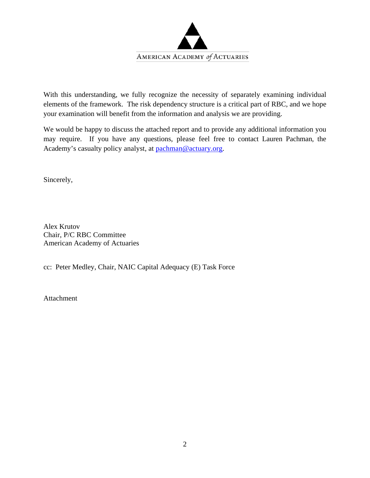

With this understanding, we fully recognize the necessity of separately examining individual elements of the framework. The risk dependency structure is a critical part of RBC, and we hope your examination will benefit from the information and analysis we are providing.

We would be happy to discuss the attached report and to provide any additional information you may require. If you have any questions, please feel free to contact Lauren Pachman, the Academy's casualty policy analyst, at pachman@actuary.org.

Sincerely,

Alex Krutov Chair, P/C RBC Committee American Academy of Actuaries

cc: Peter Medley, Chair, NAIC Capital Adequacy (E) Task Force

Attachment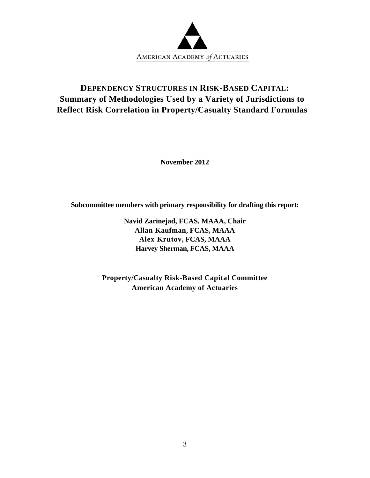

# **DEPENDENCY STRUCTURES IN RISK-BASED CAPITAL: Summary of Methodologies Used by a Variety of Jurisdictions to Reflect Risk Correlation in Property/Casualty Standard Formulas**

**November 2012** 

**Subcommittee members with primary responsibility for drafting this report:** 

**Navid Zarinejad, FCAS, MAAA, Chair Allan Kaufman, FCAS, MAAA Alex Krutov, FCAS, MAAA Harvey Sherman, FCAS, MAAA** 

**Property/Casualty Risk-Based Capital Committee American Academy of Actuaries**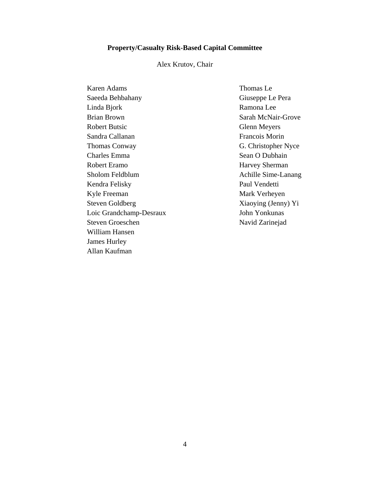#### **Property/Casualty Risk-Based Capital Committee**

#### Alex Krutov, Chair

Karen Adams Saeeda Behbahany Linda Bjork Brian Brown Robert Butsic Sandra Callanan Thomas Conway Charles Emma Robert Eramo Sholom Feldblum Kendra Felisky Kyle Freeman Steven Goldberg Loic Grandchamp-Desraux Steven Groeschen William Hansen James Hurley Allan Kaufman

Thomas Le Giuseppe Le Pera Ramona Lee Sarah McNair-Grove Glenn Meyers Francois Morin G. Christopher Nyce Sean O Dubhain Harvey Sherman Achille Sime-Lanang Paul Vendetti Mark Verheyen Xiaoying (Jenny) Yi John Yonkunas Navid Zarinejad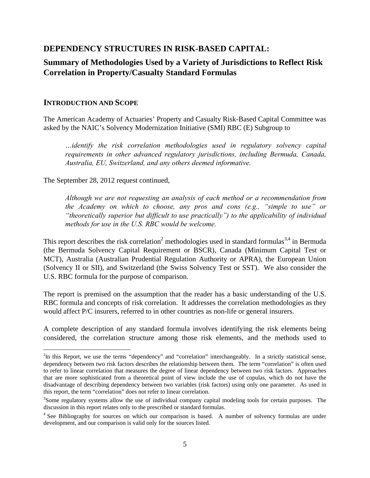## **DEPENDENCY STRUCTURES IN RISK-BASED CAPITAL:**

## **Summary of Methodologies Used by a Variety of Jurisdictions to Reflect Risk Correlation in Property/Casualty Standard Formulas**

#### **INTRODUCTION AND SCOPE**

The American Academy of Actuaries' Property and Casualty Risk-Based Capital Committee was asked by the NAIC's Solvency Modernization Initiative (SMI) RBC (E) Subgroup to

*…identify the risk correlation methodologies used in regulatory solvency capital requirements in other advanced regulatory jurisdictions, including Bermuda, Canada, Australia, EU, Switzerland, and any others deemed informative.* 

The September 28, 2012 request continued,

*Although we are not requesting an analysis of each method or a recommendation from the Academy on which to choose, any pros and cons (e.g., "simple to use" or "theoretically superior but difficult to use practically") to the applicability of individual methods for use in the U.S. RBC would be welcome.* 

This report describes the risk correlation<sup>2</sup> methodologies used in standard formulas<sup>3,4</sup> in Bermuda (the Bermuda Solvency Capital Requirement or BSCR), Canada (Minimum Capital Test or MCT), Australia (Australian Prudential Regulation Authority or APRA), the European Union (Solvency II or SII), and Switzerland (the Swiss Solvency Test or SST). We also consider the U.S. RBC formula for the purpose of comparison.

The report is premised on the assumption that the reader has a basic understanding of the U.S. RBC formula and concepts of risk correlation. It addresses the correlation methodologies as they would affect P/C insurers, referred to in other countries as non-life or general insurers.

A complete description of any standard formula involves identifying the risk elements being considered, the correlation structure among those risk elements, and the methods used to

 $2$ In this Report, we use the terms "dependency" and "correlation" interchangeably. In a strictly statistical sense, dependency between two risk factors describes the relationship between them. The term "correlation" is often used to refer to linear correlation that measures the degree of linear dependency between two risk factors. Approaches that are more sophisticated from a theoretical point of view include the use of copulas, which do not have the disadvantage of describing dependency between two variables (risk factors) using only one parameter. As used in this report, the term "correlation" does not refer to linear correlation.

<sup>&</sup>lt;sup>3</sup>Some regulatory systems allow the use of individual company capital modeling tools for certain purposes. The discussion in this report relates only to the prescribed or standard formulas.

<sup>&</sup>lt;sup>4</sup> See Bibliography for sources on which our comparison is based. A number of solvency formulas are under development, and our comparison is valid only for the sources listed.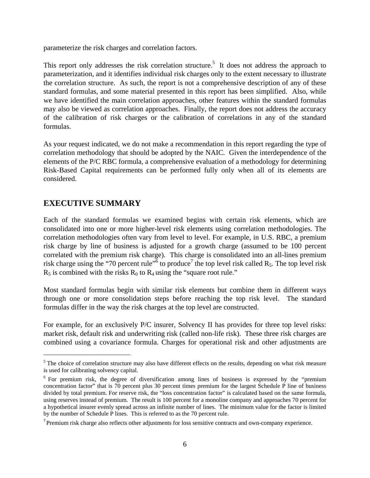parameterize the risk charges and correlation factors.

This report only addresses the risk correlation structure.<sup>5</sup> It does not address the approach to parameterization, and it identifies individual risk charges only to the extent necessary to illustrate the correlation structure. As such, the report is not a comprehensive description of any of these standard formulas, and some material presented in this report has been simplified. Also, while we have identified the main correlation approaches, other features within the standard formulas may also be viewed as correlation approaches. Finally, the report does not address the accuracy of the calibration of risk charges or the calibration of correlations in any of the standard formulas.

As your request indicated, we do not make a recommendation in this report regarding the type of correlation methodology that should be adopted by the NAIC. Given the interdependence of the elements of the P/C RBC formula, a comprehensive evaluation of a methodology for determining Risk-Based Capital requirements can be performed fully only when all of its elements are considered.

## **EXECUTIVE SUMMARY**

Each of the standard formulas we examined begins with certain risk elements, which are consolidated into one or more higher-level risk elements using correlation methodologies. The correlation methodologies often vary from level to level. For example, in U.S. RBC, a premium risk charge by line of business is adjusted for a growth charge (assumed to be 100 percent correlated with the premium risk charge). This charge is consolidated into an all-lines premium risk charge using the "70 percent rule"<sup>6</sup> to produce<sup>7</sup> the top level risk called R<sub>5</sub>. The top level risk  $R_5$  is combined with the risks  $R_0$  to  $R_4$  using the "square root rule."

Most standard formulas begin with similar risk elements but combine them in different ways through one or more consolidation steps before reaching the top risk level. The standard formulas differ in the way the risk charges at the top level are constructed.

For example, for an exclusively P/C insurer, Solvency II has provides for three top level risks: market risk, default risk and underwriting risk (called non-life risk). These three risk charges are combined using a covariance formula. Charges for operational risk and other adjustments are

 $<sup>5</sup>$  The choice of correlation structure may also have different effects on the results, depending on what risk measure</sup> is used for calibrating solvency capital.

<sup>6</sup> For premium risk, the degree of diversification among lines of business is expressed by the "premium concentration factor" that is 70 percent plus 30 percent times premium for the largest Schedule P line of business divided by total premium. For reserve risk, the "loss concentration factor" is calculated based on the same formula, using reserves instead of premium. The result is 100 percent for a monoline company and approaches 70 percent for a hypothetical insurer evenly spread across an infinite number of lines. The minimum value for the factor is limited by the number of Schedule P lines. This is referred to as the 70 percent rule.

<sup>&</sup>lt;sup>7</sup> Premium risk charge also reflects other adjustments for loss sensitive contracts and own-company experience.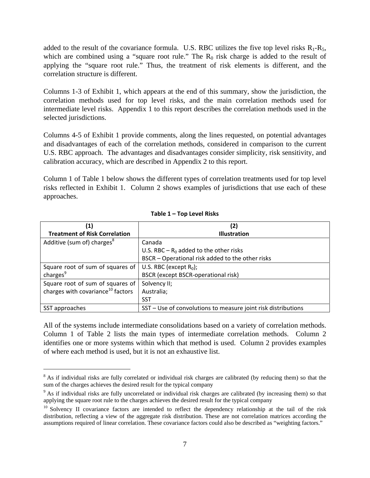added to the result of the covariance formula. U.S. RBC utilizes the five top level risks  $R_1-R_5$ , which are combined using a "square root rule." The  $R_0$  risk charge is added to the result of applying the "square root rule." Thus, the treatment of risk elements is different, and the correlation structure is different.

Columns 1-3 of Exhibit 1, which appears at the end of this summary, show the jurisdiction, the correlation methods used for top level risks, and the main correlation methods used for intermediate level risks. Appendix 1 to this report describes the correlation methods used in the selected jurisdictions.

Columns 4-5 of Exhibit 1 provide comments, along the lines requested, on potential advantages and disadvantages of each of the correlation methods, considered in comparison to the current U.S. RBC approach. The advantages and disadvantages consider simplicity, risk sensitivity, and calibration accuracy, which are described in Appendix 2 to this report.

Column 1 of Table 1 below shows the different types of correlation treatments used for top level risks reflected in Exhibit 1. Column 2 shows examples of jurisdictions that use each of these approaches.

| (1)                                           | (2)                                                           |
|-----------------------------------------------|---------------------------------------------------------------|
| <b>Treatment of Risk Correlation</b>          | <b>Illustration</b>                                           |
| Additive (sum of) charges <sup>8</sup>        | Canada                                                        |
|                                               | U.S. RBC – $R_0$ added to the other risks                     |
|                                               | BSCR - Operational risk added to the other risks              |
| Square root of sum of squares of              | U.S. RBC (except $R_0$ );                                     |
| charges <sup>9</sup>                          | <b>BSCR</b> (except BSCR-operational risk)                    |
| Square root of sum of squares of              | Solvency II;                                                  |
| charges with covariance <sup>10</sup> factors | Australia;                                                    |
|                                               | <b>SST</b>                                                    |
| SST approaches                                | SST - Use of convolutions to measure joint risk distributions |

#### **Table 1 – Top Level Risks**

All of the systems include intermediate consolidations based on a variety of correlation methods. Column 1 of Table 2 lists the main types of intermediate correlation methods. Column 2 identifies one or more systems within which that method is used. Column 2 provides examples of where each method is used, but it is not an exhaustive list.

 $8$  As if individual risks are fully correlated or individual risk charges are calibrated (by reducing them) so that the sum of the charges achieves the desired result for the typical company

<sup>&</sup>lt;sup>9</sup> As if individual risks are fully uncorrelated or individual risk charges are calibrated (by increasing them) so that applying the square root rule to the charges achieves the desired result for the typical company

<sup>&</sup>lt;sup>10</sup> Solvency II covariance factors are intended to reflect the dependency relationship at the tail of the risk distribution, reflecting a view of the aggregate risk distribution. These are not correlation matrices according the assumptions required of linear correlation. These covariance factors could also be described as "weighting factors."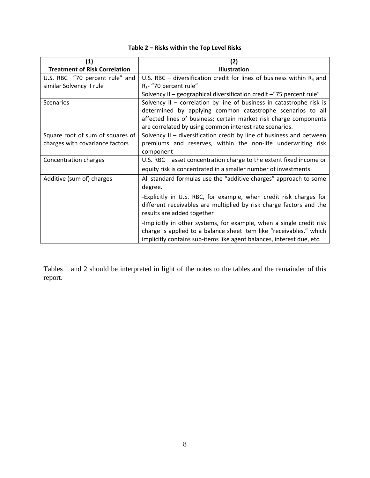| (1)                                  | (2)                                                                      |  |  |  |
|--------------------------------------|--------------------------------------------------------------------------|--|--|--|
| <b>Treatment of Risk Correlation</b> | <b>Illustration</b>                                                      |  |  |  |
| U.S. RBC "70 percent rule" and       | U.S. RBC – diversification credit for lines of business within $R_4$ and |  |  |  |
| similar Solvency II rule             | $R_5$ - "70 percent rule"                                                |  |  |  |
|                                      | Solvency II - geographical diversification credit - "75 percent rule"    |  |  |  |
| Scenarios                            | Solvency $II$ – correlation by line of business in catastrophe risk is   |  |  |  |
|                                      | determined by applying common catastrophe scenarios to all               |  |  |  |
|                                      | affected lines of business; certain market risk charge components        |  |  |  |
|                                      | are correlated by using common interest rate scenarios.                  |  |  |  |
| Square root of sum of squares of     | Solvency II - diversification credit by line of business and between     |  |  |  |
| charges with covariance factors      | premiums and reserves, within the non-life underwriting risk             |  |  |  |
|                                      | component                                                                |  |  |  |
| Concentration charges                | U.S. RBC - asset concentration charge to the extent fixed income or      |  |  |  |
|                                      | equity risk is concentrated in a smaller number of investments           |  |  |  |
| Additive (sum of) charges            | All standard formulas use the "additive charges" approach to some        |  |  |  |
|                                      | degree.                                                                  |  |  |  |
|                                      | -Explicitly in U.S. RBC, for example, when credit risk charges for       |  |  |  |
|                                      | different receivables are multiplied by risk charge factors and the      |  |  |  |
|                                      | results are added together                                               |  |  |  |
|                                      | -Implicitly in other systems, for example, when a single credit risk     |  |  |  |
|                                      | charge is applied to a balance sheet item like "receivables," which      |  |  |  |
|                                      | implicitly contains sub-items like agent balances, interest due, etc.    |  |  |  |

### **Table 2 – Risks within the Top Level Risks**

Tables 1 and 2 should be interpreted in light of the notes to the tables and the remainder of this report.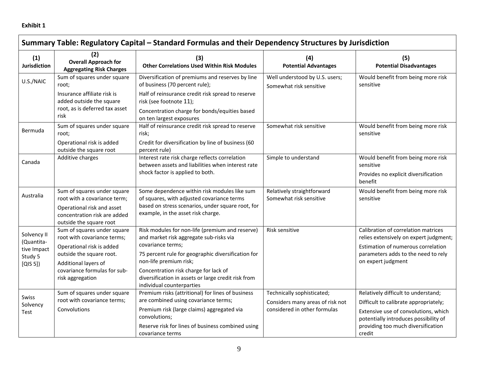| Summary Table: Regulatory Capital - Standard Formulas and their Dependency Structures by Jurisdiction |                                                                                                                                                                                                 |                                                                                                                                                                                                                                                                                                                              |                                                                                                |                                                                                                                                                                                                               |  |
|-------------------------------------------------------------------------------------------------------|-------------------------------------------------------------------------------------------------------------------------------------------------------------------------------------------------|------------------------------------------------------------------------------------------------------------------------------------------------------------------------------------------------------------------------------------------------------------------------------------------------------------------------------|------------------------------------------------------------------------------------------------|---------------------------------------------------------------------------------------------------------------------------------------------------------------------------------------------------------------|--|
| (1)<br><b>Jurisdiction</b>                                                                            | (2)<br><b>Overall Approach for</b><br><b>Aggregating Risk Charges</b>                                                                                                                           | (3)<br><b>Other Correlations Used Within Risk Modules</b>                                                                                                                                                                                                                                                                    | (4)<br><b>Potential Advantages</b>                                                             | (5)<br><b>Potential Disadvantages</b>                                                                                                                                                                         |  |
| U.S./NAIC                                                                                             | Sum of squares under square<br>root;<br>Insurance affiliate risk is<br>added outside the square<br>root, as is deferred tax asset<br>risk                                                       | Diversification of premiums and reserves by line<br>of business (70 percent rule);<br>Half of reinsurance credit risk spread to reserve<br>risk (see footnote 11);<br>Concentration charge for bonds/equities based<br>on ten largest exposures                                                                              | Well understood by U.S. users;<br>Somewhat risk sensitive                                      | Would benefit from being more risk<br>sensitive                                                                                                                                                               |  |
| Bermuda                                                                                               | Sum of squares under square<br>root;<br>Operational risk is added<br>outside the square root                                                                                                    | Half of reinsurance credit risk spread to reserve<br>risk;<br>Credit for diversification by line of business (60<br>percent rule)                                                                                                                                                                                            | Somewhat risk sensitive                                                                        | Would benefit from being more risk<br>sensitive                                                                                                                                                               |  |
| Canada                                                                                                | Additive charges                                                                                                                                                                                | Interest rate risk charge reflects correlation<br>between assets and liabilities when interest rate<br>shock factor is applied to both.                                                                                                                                                                                      | Simple to understand                                                                           | Would benefit from being more risk<br>sensitive<br>Provides no explicit diversification<br>benefit                                                                                                            |  |
| Australia                                                                                             | Sum of squares under square<br>root with a covariance term;<br>Operational risk and asset<br>concentration risk are added<br>outside the square root                                            | Some dependence within risk modules like sum<br>of squares, with adjusted covariance terms<br>based on stress scenarios, under square root, for<br>example, in the asset risk charge.                                                                                                                                        | Relatively straightforward<br>Somewhat risk sensitive                                          | Would benefit from being more risk<br>sensitive                                                                                                                                                               |  |
| Solvency II<br>(Quantita-<br>tive Impact<br>Study 5<br>[QIS 5]                                        | Sum of squares under square<br>root with covariance terms;<br>Operational risk is added<br>outside the square root.<br>Additional layers of<br>covariance formulas for sub-<br>risk aggregation | Risk modules for non-life (premium and reserve)<br>and market risk aggregate sub-risks via<br>covariance terms;<br>75 percent rule for geographic diversification for<br>non-life premium risk;<br>Concentration risk charge for lack of<br>diversification in assets or large credit risk from<br>individual counterparties | Risk sensitive                                                                                 | Calibration of correlation matrices<br>relies extensively on expert judgment;<br>Estimation of numerous correlation<br>parameters adds to the need to rely<br>on expert judgment                              |  |
| Swiss<br>Solvency<br>Test                                                                             | Sum of squares under square<br>root with covariance terms;<br>Convolutions                                                                                                                      | Premium risks (attritional) for lines of business<br>are combined using covariance terms;<br>Premium risk (large claims) aggregated via<br>convolutions;<br>Reserve risk for lines of business combined using<br>covariance terms                                                                                            | Technically sophisticated;<br>Considers many areas of risk not<br>considered in other formulas | Relatively difficult to understand;<br>Difficult to calibrate appropriately;<br>Extensive use of convolutions, which<br>potentially introduces possibility of<br>providing too much diversification<br>credit |  |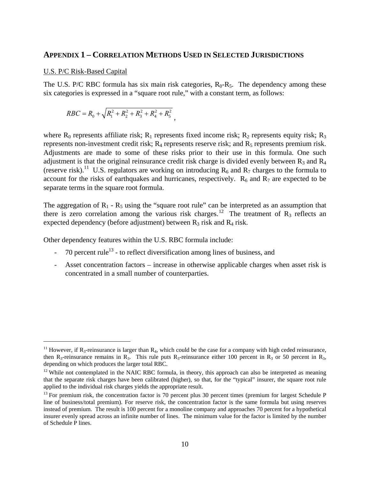#### **APPENDIX 1 – CORRELATION METHODS USED IN SELECTED JURISDICTIONS**

#### U.S. P/C Risk-Based Capital

The U.S. P/C RBC formula has six main risk categories,  $R_0-R_5$ . The dependency among these six categories is expressed in a "square root rule," with a constant term, as follows:

$$
RBC = R_0 + \sqrt{R_1^2 + R_2^2 + R_3^2 + R_4^2 + R_5^2},
$$

where  $R_0$  represents affiliate risk;  $R_1$  represents fixed income risk;  $R_2$  represents equity risk;  $R_3$ represents non-investment credit risk;  $R_4$  represents reserve risk; and  $R_5$  represents premium risk. Adjustments are made to some of these risks prior to their use in this formula. One such adjustment is that the original reinsurance credit risk charge is divided evenly between  $R_3$  and  $R_4$ (reserve risk).<sup>11</sup> U.S. regulators are working on introducing  $R_6$  and  $R_7$  charges to the formula to account for the risks of earthquakes and hurricanes, respectively.  $R_6$  and  $R_7$  are expected to be separate terms in the square root formula.

The aggregation of  $R_1 - R_5$  using the "square root rule" can be interpreted as an assumption that there is zero correlation among the various risk charges.<sup>12</sup> The treatment of  $R_3$  reflects an expected dependency (before adjustment) between  $R_3$  risk and  $R_4$  risk.

Other dependency features within the U.S. RBC formula include:

- $-$  70 percent rule<sup>13</sup> to reflect diversification among lines of business, and
- Asset concentration factors increase in otherwise applicable charges when asset risk is concentrated in a small number of counterparties.

<sup>&</sup>lt;sup>11</sup> However, if R<sub>3</sub>-reinsurance is larger than R<sub>4</sub>, which could be the case for a company with high ceded reinsurance, then R<sub>3</sub>-reinsurance remains in R<sub>3</sub>. This rule puts R<sub>3</sub>-reinsurance either 100 percent in R<sub>3</sub> or 50 percent in R<sub>3</sub>, depending on which produces the larger total RBC.

 $12$  While not contemplated in the NAIC RBC formula, in theory, this approach can also be interpreted as meaning that the separate risk charges have been calibrated (higher), so that, for the "typical" insurer, the square root rule applied to the individual risk charges yields the appropriate result.

 $13$  For premium risk, the concentration factor is 70 percent plus 30 percent times (premium for largest Schedule P line of business/total premium). For reserve risk, the concentration factor is the same formula but using reserves instead of premium. The result is 100 percent for a monoline company and approaches 70 percent for a hypothetical insurer evenly spread across an infinite number of lines. The minimum value for the factor is limited by the number of Schedule P lines.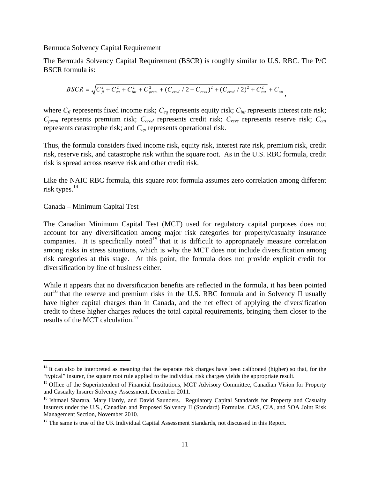#### Bermuda Solvency Capital Requirement

The Bermuda Solvency Capital Requirement (BSCR) is roughly similar to U.S. RBC. The P/C BSCR formula is:

$$
BSCR = \sqrt{C_{\hat{f}i}^2 + C_{eq}^2 + C_{int}^2 + C_{prem}^2 + (C_{cred}/2 + C_{rsvs})^2 + (C_{cred}/2)^2 + C_{cat}^2} + C_{op},
$$

where  $C_f$  represents fixed income risk;  $C_{eq}$  represents equity risk;  $C_{int}$  represents interest rate risk; *Cprem* represents premium risk; *Ccred* represents credit risk; *Crsvs* represents reserve risk; *Ccat* represents catastrophe risk; and *Cop* represents operational risk.

Thus, the formula considers fixed income risk, equity risk, interest rate risk, premium risk, credit risk, reserve risk, and catastrophe risk within the square root. As in the U.S. RBC formula, credit risk is spread across reserve risk and other credit risk.

Like the NAIC RBC formula, this square root formula assumes zero correlation among different risk types. $^{14}$ 

#### Canada – Minimum Capital Test

The Canadian Minimum Capital Test (MCT) used for regulatory capital purposes does not account for any diversification among major risk categories for property/casualty insurance companies. It is specifically noted<sup>15</sup> that it is difficult to appropriately measure correlation among risks in stress situations, which is why the MCT does not include diversification among risk categories at this stage. At this point, the formula does not provide explicit credit for diversification by line of business either.

While it appears that no diversification benefits are reflected in the formula, it has been pointed  $out<sup>16</sup>$  that the reserve and premium risks in the U.S. RBC formula and in Solvency II usually have higher capital charges than in Canada, and the net effect of applying the diversification credit to these higher charges reduces the total capital requirements, bringing them closer to the results of the MCT calculation.<sup>17</sup>

 $14$  It can also be interpreted as meaning that the separate risk charges have been calibrated (higher) so that, for the "typical" insurer, the square root rule applied to the individual risk charges yields the appropriat

<sup>&</sup>lt;sup>15</sup> Office of the Superintendent of Financial Institutions, MCT Advisory Committee, Canadian Vision for Property and Casualty Insurer Solvency Assessment, December 2011.

<sup>&</sup>lt;sup>16</sup> Ishmael Sharara, Mary Hardy, and David Saunders. Regulatory Capital Standards for Property and Casualty Insurers under the U.S., Canadian and Proposed Solvency II (Standard) Formulas. CAS, CIA, and SOA Joint Risk Management Section, November 2010.

<sup>&</sup>lt;sup>17</sup> The same is true of the UK Individual Capital Assessment Standards, not discussed in this Report.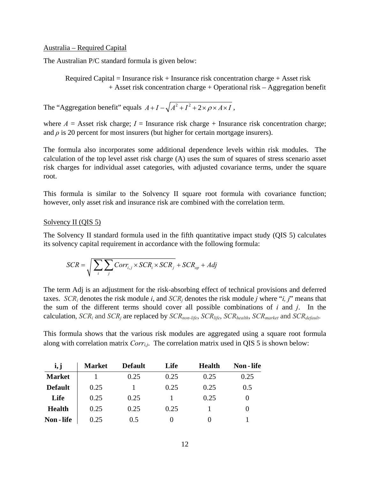#### Australia – Required Capital

The Australian P/C standard formula is given below:

Required Capital = Insurance risk + Insurance risk concentration charge + Asset risk + Asset risk concentration charge + Operational risk – Aggregation benefit

The "Aggregation benefit" equals  $A + I - \sqrt{A^2 + I^2 + 2 \times \rho \times A \times I}$ ,

where  $A =$  Asset risk charge;  $I =$  Insurance risk charge + Insurance risk concentration charge; and  $\rho$  is 20 percent for most insurers (but higher for certain mortgage insurers).

The formula also incorporates some additional dependence levels within risk modules. The calculation of the top level asset risk charge (A) uses the sum of squares of stress scenario asset risk charges for individual asset categories, with adjusted covariance terms, under the square root.

This formula is similar to the Solvency II square root formula with covariance function; however, only asset risk and insurance risk are combined with the correlation term.

#### Solvency II (QIS 5)

The Solvency II standard formula used in the fifth quantitative impact study (QIS 5) calculates its solvency capital requirement in accordance with the following formula:

$$
SCR = \sqrt{\sum_{i} \sum_{j} Corr_{i,j} \times SCR_i \times SCR_j} + SCR_{op} + Adj
$$

The term Adj is an adjustment for the risk-absorbing effect of technical provisions and deferred taxes. *SCR<sub>i</sub>* denotes the risk module *i*, and *SCR<sub>i</sub>* denotes the risk module *j* where "*i*, *j*" means that the sum of the different terms should cover all possible combinations of *i* and *j*. In the calculation, *SCRi* and *SCRj* are replaced by *SCRnon-life*, *SCRlife*, *SCRhealth*, *SCRmarket* and *SCRdefault*.

This formula shows that the various risk modules are aggregated using a square root formula along with correlation matrix *Corri,j*. The correlation matrix used in QIS 5 is shown below:

| i, j           | <b>Market</b> | <b>Default</b> | Life | <b>Health</b> | Non - life |
|----------------|---------------|----------------|------|---------------|------------|
| <b>Market</b>  |               | 0.25           | 0.25 | 0.25          | 0.25       |
| <b>Default</b> | 0.25          |                | 0.25 | 0.25          | 0.5        |
| Life           | 0.25          | 0.25           |      | 0.25          |            |
| <b>Health</b>  | 0.25          | 0.25           | 0.25 |               |            |
| Non - life     | 0.25          | 0.5            |      |               |            |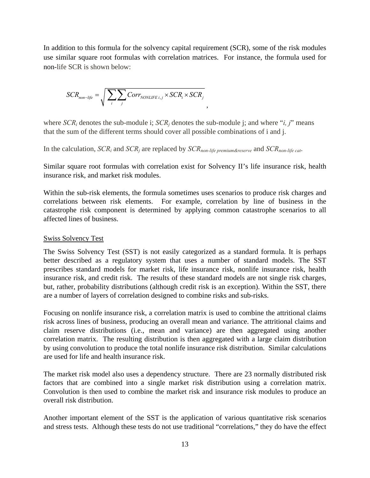In addition to this formula for the solvency capital requirement (SCR), some of the risk modules use similar square root formulas with correlation matrices. For instance, the formula used for non-life SCR is shown below:

,

$$
SCR_{non-life} = \sqrt{\sum_{i} \sum_{j} Corr_{NONLIEE}}_{i,j} \times SCR_{i} \times SCR_{j}
$$

where *SCRi* denotes the sub-module i; *SCRj* denotes the sub-module j; and where "*i, j*" means that the sum of the different terms should cover all possible combinations of i and j.

In the calculation, *SCRi* and *SCRj* are replaced by *SCRnon-life premium&reserve* and *SCRnon-life cat*.

Similar square root formulas with correlation exist for Solvency II's life insurance risk, health insurance risk, and market risk modules.

Within the sub-risk elements, the formula sometimes uses scenarios to produce risk charges and correlations between risk elements. For example, correlation by line of business in the catastrophe risk component is determined by applying common catastrophe scenarios to all affected lines of business.

#### Swiss Solvency Test

The Swiss Solvency Test (SST) is not easily categorized as a standard formula. It is perhaps better described as a regulatory system that uses a number of standard models. The SST prescribes standard models for market risk, life insurance risk, nonlife insurance risk, health insurance risk, and credit risk. The results of these standard models are not single risk charges, but, rather, probability distributions (although credit risk is an exception). Within the SST, there are a number of layers of correlation designed to combine risks and sub-risks.

Focusing on nonlife insurance risk, a correlation matrix is used to combine the attritional claims risk across lines of business, producing an overall mean and variance. The attritional claims and claim reserve distributions (i.e., mean and variance) are then aggregated using another correlation matrix. The resulting distribution is then aggregated with a large claim distribution by using convolution to produce the total nonlife insurance risk distribution. Similar calculations are used for life and health insurance risk.

The market risk model also uses a dependency structure. There are 23 normally distributed risk factors that are combined into a single market risk distribution using a correlation matrix. Convolution is then used to combine the market risk and insurance risk modules to produce an overall risk distribution.

Another important element of the SST is the application of various quantitative risk scenarios and stress tests. Although these tests do not use traditional "correlations," they do have the effect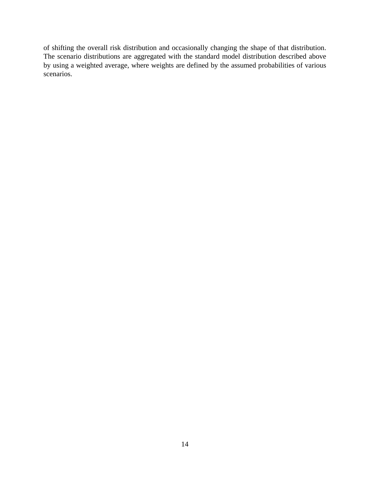of shifting the overall risk distribution and occasionally changing the shape of that distribution. The scenario distributions are aggregated with the standard model distribution described above by using a weighted average, where weights are defined by the assumed probabilities of various scenarios.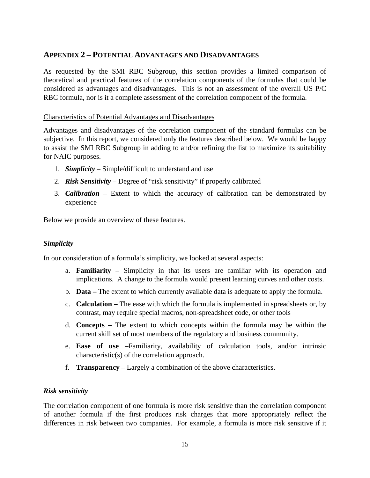### **APPENDIX 2 – POTENTIAL ADVANTAGES AND DISADVANTAGES**

As requested by the SMI RBC Subgroup, this section provides a limited comparison of theoretical and practical features of the correlation components of the formulas that could be considered as advantages and disadvantages. This is not an assessment of the overall US P/C RBC formula, nor is it a complete assessment of the correlation component of the formula.

#### Characteristics of Potential Advantages and Disadvantages

Advantages and disadvantages of the correlation component of the standard formulas can be subjective. In this report, we considered only the features described below. We would be happy to assist the SMI RBC Subgroup in adding to and/or refining the list to maximize its suitability for NAIC purposes.

- 1. *Simplicity* Simple/difficult to understand and use
- 2. *Risk Sensitivity* Degree of "risk sensitivity" if properly calibrated
- 3. *Calibration* Extent to which the accuracy of calibration can be demonstrated by experience

Below we provide an overview of these features.

### *Simplicity*

In our consideration of a formula's simplicity, we looked at several aspects:

- a. **Familiarity** Simplicity in that its users are familiar with its operation and implications. A change to the formula would present learning curves and other costs.
- b. **Data –** The extent to which currently available data is adequate to apply the formula.
- c. **Calculation –** The ease with which the formula is implemented in spreadsheets or, by contrast, may require special macros, non-spreadsheet code, or other tools
- d. **Concepts –** The extent to which concepts within the formula may be within the current skill set of most members of the regulatory and business community.
- e. **Ease of use –**Familiarity, availability of calculation tools, and/or intrinsic characteristic(s) of the correlation approach.
- f. **Transparency** Largely a combination of the above characteristics.

#### *Risk sensitivity*

The correlation component of one formula is more risk sensitive than the correlation component of another formula if the first produces risk charges that more appropriately reflect the differences in risk between two companies. For example, a formula is more risk sensitive if it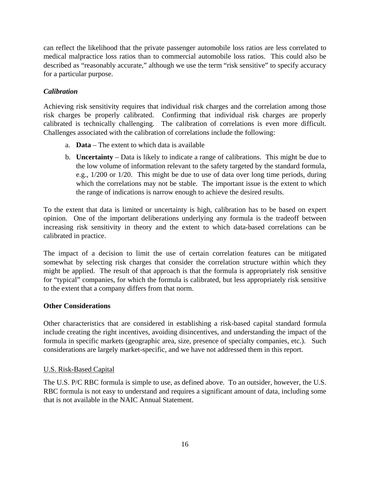can reflect the likelihood that the private passenger automobile loss ratios are less correlated to medical malpractice loss ratios than to commercial automobile loss ratios. This could also be described as "reasonably accurate," although we use the term "risk sensitive" to specify accuracy for a particular purpose.

### *Calibration*

Achieving risk sensitivity requires that individual risk charges and the correlation among those risk charges be properly calibrated. Confirming that individual risk charges are properly calibrated is technically challenging. The calibration of correlations is even more difficult. Challenges associated with the calibration of correlations include the following:

- a. **Data** The extent to which data is available
- b. **Uncertainty** Data is likely to indicate a range of calibrations. This might be due to the low volume of information relevant to the safety targeted by the standard formula, e.g., 1/200 or 1/20. This might be due to use of data over long time periods, during which the correlations may not be stable. The important issue is the extent to which the range of indications is narrow enough to achieve the desired results.

To the extent that data is limited or uncertainty is high, calibration has to be based on expert opinion. One of the important deliberations underlying any formula is the tradeoff between increasing risk sensitivity in theory and the extent to which data-based correlations can be calibrated in practice.

The impact of a decision to limit the use of certain correlation features can be mitigated somewhat by selecting risk charges that consider the correlation structure within which they might be applied. The result of that approach is that the formula is appropriately risk sensitive for "typical" companies, for which the formula is calibrated, but less appropriately risk sensitive to the extent that a company differs from that norm.

### **Other Considerations**

Other characteristics that are considered in establishing a risk-based capital standard formula include creating the right incentives, avoiding disincentives, and understanding the impact of the formula in specific markets (geographic area, size, presence of specialty companies, etc.). Such considerations are largely market-specific, and we have not addressed them in this report.

### U.S. Risk-Based Capital

The U.S. P/C RBC formula is simple to use, as defined above. To an outsider, however, the U.S. RBC formula is not easy to understand and requires a significant amount of data, including some that is not available in the NAIC Annual Statement.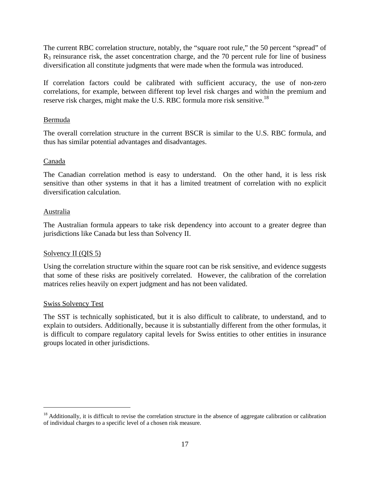The current RBC correlation structure, notably, the "square root rule," the 50 percent "spread" of R3 reinsurance risk, the asset concentration charge, and the 70 percent rule for line of business diversification all constitute judgments that were made when the formula was introduced.

If correlation factors could be calibrated with sufficient accuracy, the use of non-zero correlations, for example, between different top level risk charges and within the premium and reserve risk charges, might make the U.S. RBC formula more risk sensitive.<sup>18</sup>

#### Bermuda

The overall correlation structure in the current BSCR is similar to the U.S. RBC formula, and thus has similar potential advantages and disadvantages.

### Canada

The Canadian correlation method is easy to understand. On the other hand, it is less risk sensitive than other systems in that it has a limited treatment of correlation with no explicit diversification calculation.

#### Australia

The Australian formula appears to take risk dependency into account to a greater degree than jurisdictions like Canada but less than Solvency II.

### Solvency II (QIS 5)

Using the correlation structure within the square root can be risk sensitive, and evidence suggests that some of these risks are positively correlated. However, the calibration of the correlation matrices relies heavily on expert judgment and has not been validated.

#### Swiss Solvency Test

The SST is technically sophisticated, but it is also difficult to calibrate, to understand, and to explain to outsiders. Additionally, because it is substantially different from the other formulas, it is difficult to compare regulatory capital levels for Swiss entities to other entities in insurance groups located in other jurisdictions.

<sup>&</sup>lt;sup>18</sup> Additionally, it is difficult to revise the correlation structure in the absence of aggregate calibration or calibration of individual charges to a specific level of a chosen risk measure.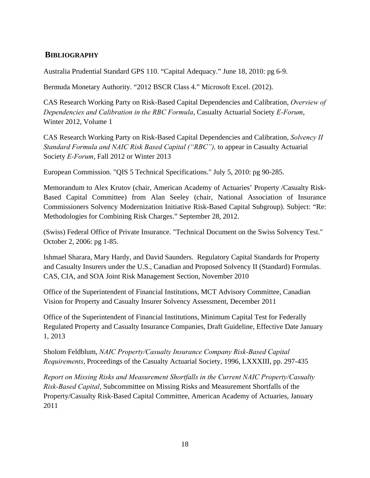## **BIBLIOGRAPHY**

Australia Prudential Standard GPS 110. "Capital Adequacy." June 18, 2010: pg 6-9.

Bermuda Monetary Authority. "2012 BSCR Class 4." Microsoft Excel. (2012).

CAS Research Working Party on Risk-Based Capital Dependencies and Calibration, *Overview of Dependencies and Calibration in the RBC Formula*, Casualty Actuarial Society *E-Forum*, Winter 2012, Volume 1

CAS Research Working Party on Risk-Based Capital Dependencies and Calibration, *Solvency II Standard Formula and NAIC Risk Based Capital ("RBC"),* to appear in Casualty Actuarial Society *E-Forum*, Fall 2012 or Winter 2013

European Commission. "QIS 5 Technical Specifications." July 5, 2010: pg 90-285.

Memorandum to Alex Krutov (chair, American Academy of Actuaries' Property /Casualty Risk-Based Capital Committee) from Alan Seeley (chair, National Association of Insurance Commissioners Solvency Modernization Initiative Risk-Based Capital Subgroup). Subject: "Re: Methodologies for Combining Risk Charges." September 28, 2012.

(Swiss) Federal Office of Private Insurance. "Technical Document on the Swiss Solvency Test." October 2, 2006: pg 1-85.

Ishmael Sharara, Mary Hardy, and David Saunders. Regulatory Capital Standards for Property and Casualty Insurers under the U.S., Canadian and Proposed Solvency II (Standard) Formulas. CAS, CIA, and SOA Joint Risk Management Section, November 2010

Office of the Superintendent of Financial Institutions, MCT Advisory Committee, Canadian Vision for Property and Casualty Insurer Solvency Assessment, December 2011

Office of the Superintendent of Financial Institutions, Minimum Capital Test for Federally Regulated Property and Casualty Insurance Companies, Draft Guideline, Effective Date January 1, 2013

Sholom Feldblum, *NAIC Property/Casualty Insurance Company Risk-Based Capital Requirements*, Proceedings of the Casualty Actuarial Society, 1996, LXXXIII, pp. 297-435

*Report on Missing Risks and Measurement Shortfalls in the Current NAIC Property/Casualty Risk-Based Capital*, Subcommittee on Missing Risks and Measurement Shortfalls of the Property/Casualty Risk-Based Capital Committee, American Academy of Actuaries, January 2011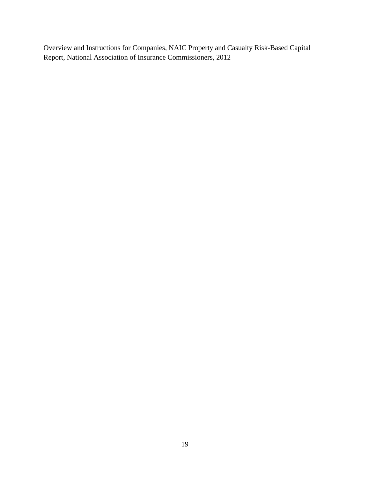Overview and Instructions for Companies, NAIC Property and Casualty Risk-Based Capital Report, National Association of Insurance Commissioners, 2012